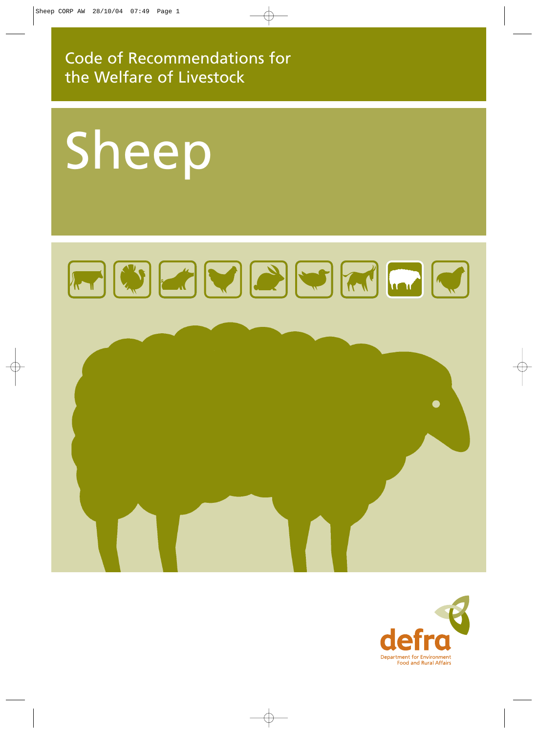Code of Recommendations for the Welfare of Livestock

# Sheep

# FUEDPFFF

# $\bullet$

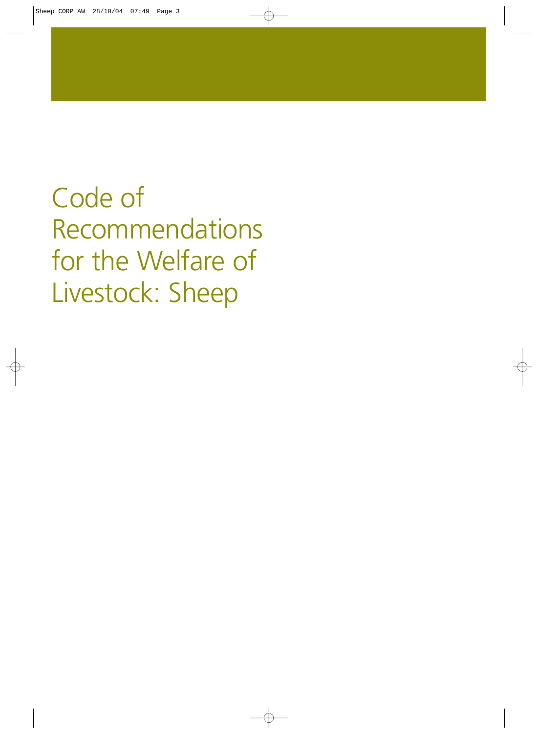Code of Recommendations for the Welfare of Livestock: Sheep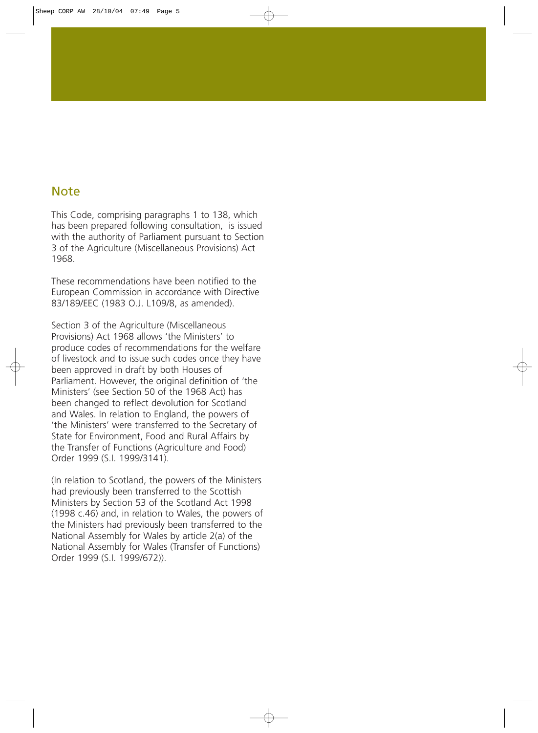### Note

This Code, comprising paragraphs 1 to 138, which has been prepared following consultation, is issued with the authority of Parliament pursuant to Section 3 of the Agriculture (Miscellaneous Provisions) Act 1968.

These recommendations have been notified to the European Commission in accordance with Directive 83/189/EEC (1983 O.J. L109/8, as amended).

Section 3 of the Agriculture (Miscellaneous Provisions) Act 1968 allows 'the Ministers' to produce codes of recommendations for the welfare of livestock and to issue such codes once they have been approved in draft by both Houses of Parliament. However, the original definition of 'the Ministers' (see Section 50 of the 1968 Act) has been changed to reflect devolution for Scotland and Wales. In relation to England, the powers of 'the Ministers' were transferred to the Secretary of State for Environment, Food and Rural Affairs by the Transfer of Functions (Agriculture and Food) Order 1999 (S.I. 1999/3141).

(In relation to Scotland, the powers of the Ministers had previously been transferred to the Scottish Ministers by Section 53 of the Scotland Act 1998 (1998 c.46) and, in relation to Wales, the powers of the Ministers had previously been transferred to the National Assembly for Wales by article 2(a) of the National Assembly for Wales (Transfer of Functions) Order 1999 (S.I. 1999/672)).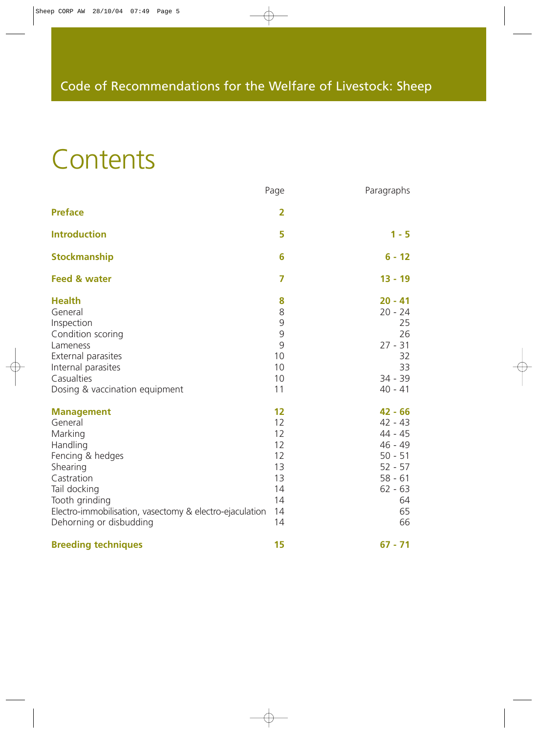# **Contents**

|                                                                                                                                                                                                                           | Page                                                           | Paragraphs                                                                                                           |
|---------------------------------------------------------------------------------------------------------------------------------------------------------------------------------------------------------------------------|----------------------------------------------------------------|----------------------------------------------------------------------------------------------------------------------|
| <b>Preface</b>                                                                                                                                                                                                            | $\overline{2}$                                                 |                                                                                                                      |
| <b>Introduction</b>                                                                                                                                                                                                       | 5                                                              | $1 - 5$                                                                                                              |
| <b>Stockmanship</b>                                                                                                                                                                                                       | 6                                                              | $6 - 12$                                                                                                             |
| <b>Feed &amp; water</b>                                                                                                                                                                                                   | $\overline{7}$                                                 | $13 - 19$                                                                                                            |
| <b>Health</b><br>General<br>Inspection<br>Condition scoring<br>Lameness<br>External parasites<br>Internal parasites<br>Casualties<br>Dosing & vaccination equipment                                                       | 8<br>8<br>9<br>9<br>9<br>10<br>10<br>10<br>11                  | $20 - 41$<br>$20 - 24$<br>25<br>26<br>$27 - 31$<br>32<br>33<br>$34 - 39$<br>$40 - 41$                                |
| <b>Management</b><br>General<br>Marking<br>Handling<br>Fencing & hedges<br>Shearing<br>Castration<br>Tail docking<br>Tooth grinding<br>Electro-immobilisation, vasectomy & electro-ejaculation<br>Dehorning or disbudding | 12<br>12<br>12<br>12<br>12<br>13<br>13<br>14<br>14<br>14<br>14 | $42 - 66$<br>$42 - 43$<br>44 - 45<br>$46 - 49$<br>$50 - 51$<br>$52 - 57$<br>$58 - 61$<br>$62 - 63$<br>64<br>65<br>66 |
| <b>Breeding techniques</b>                                                                                                                                                                                                | 15                                                             | $67 - 71$                                                                                                            |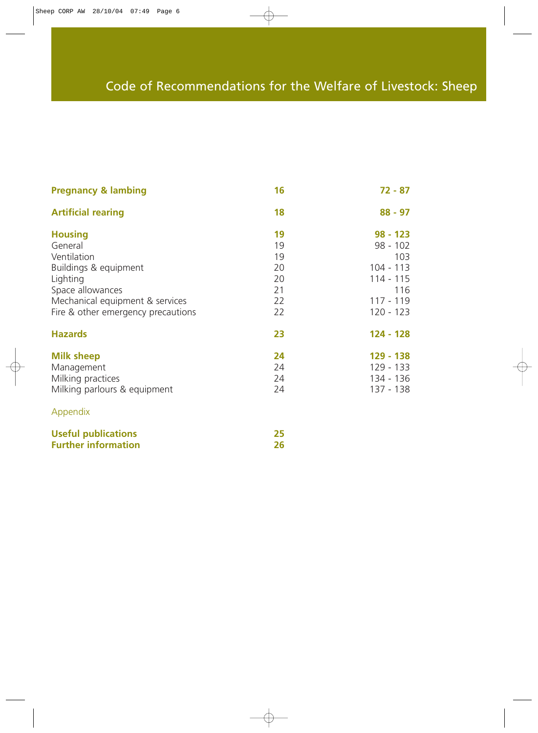### Code of Recommendations for the Welfare of Livestock: Sheep

| <b>Pregnancy &amp; lambing</b>     | 16       | $72 - 87$              |
|------------------------------------|----------|------------------------|
| <b>Artificial rearing</b>          | 18       | $88 - 97$              |
| <b>Housing</b><br>General          | 19<br>19 | $98 - 123$<br>98 - 102 |
| Ventilation                        | 19       | 103                    |
| Buildings & equipment              | 20       | $104 - 113$            |
| Lighting                           | 20       | 114 - 115              |
| Space allowances                   | 21       | 116                    |
| Mechanical equipment & services    | 22       | 117 - 119              |
| Fire & other emergency precautions | 22       | $120 - 123$            |
| <b>Hazards</b>                     | 23       | 124 - 128              |
| <b>Milk sheep</b>                  | 24       | 129 - 138              |
| Management                         | 24       | 129 - 133              |
| Milking practices                  | 24       | 134 - 136              |
| Milking parlours & equipment       | 24       | 137 - 138              |
| Appendix                           |          |                        |

| <b>Useful publications</b> |    |
|----------------------------|----|
| <b>Further information</b> | 26 |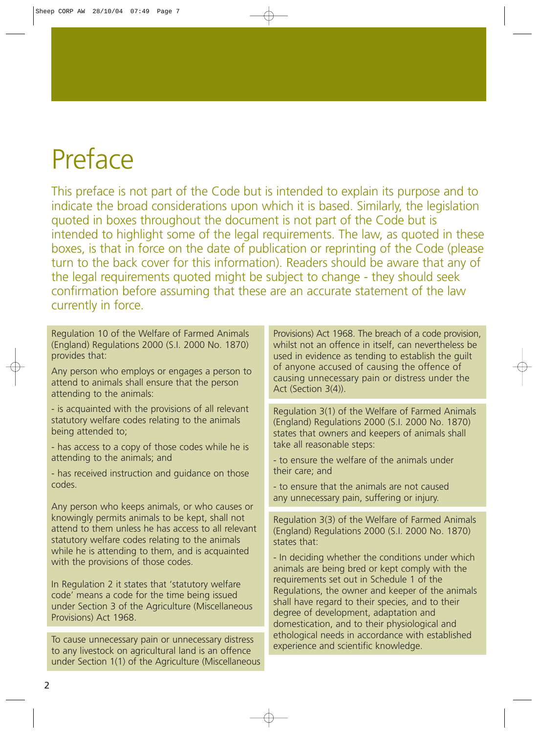# Preface

This preface is not part of the Code but is intended to explain its purpose and to indicate the broad considerations upon which it is based. Similarly, the legislation quoted in boxes throughout the document is not part of the Code but is intended to highlight some of the legal requirements. The law, as quoted in these boxes, is that in force on the date of publication or reprinting of the Code (please turn to the back cover for this information). Readers should be aware that any of the legal requirements quoted might be subject to change - they should seek confirmation before assuming that these are an accurate statement of the law currently in force.

Regulation 10 of the Welfare of Farmed Animals (England) Regulations 2000 (S.I. 2000 No. 1870) provides that:

Any person who employs or engages a person to attend to animals shall ensure that the person attending to the animals:

- is acquainted with the provisions of all relevant statutory welfare codes relating to the animals being attended to;

- has access to a copy of those codes while he is attending to the animals; and

- has received instruction and guidance on those codes.

Any person who keeps animals, or who causes or knowingly permits animals to be kept, shall not attend to them unless he has access to all relevant statutory welfare codes relating to the animals while he is attending to them, and is acquainted with the provisions of those codes.

In Regulation 2 it states that 'statutory welfare code' means a code for the time being issued under Section 3 of the Agriculture (Miscellaneous Provisions) Act 1968.

To cause unnecessary pain or unnecessary distress to any livestock on agricultural land is an offence under Section 1(1) of the Agriculture (Miscellaneous Provisions) Act 1968. The breach of a code provision, whilst not an offence in itself, can nevertheless be used in evidence as tending to establish the guilt of anyone accused of causing the offence of causing unnecessary pain or distress under the Act (Section 3(4)).

Regulation 3(1) of the Welfare of Farmed Animals (England) Regulations 2000 (S.I. 2000 No. 1870) states that owners and keepers of animals shall take all reasonable steps:

- to ensure the welfare of the animals under their care; and

- to ensure that the animals are not caused any unnecessary pain, suffering or injury.

Regulation 3(3) of the Welfare of Farmed Animals (England) Regulations 2000 (S.I. 2000 No. 1870) states that:

- In deciding whether the conditions under which animals are being bred or kept comply with the requirements set out in Schedule 1 of the Regulations, the owner and keeper of the animals shall have regard to their species, and to their degree of development, adaptation and domestication, and to their physiological and ethological needs in accordance with established experience and scientific knowledge.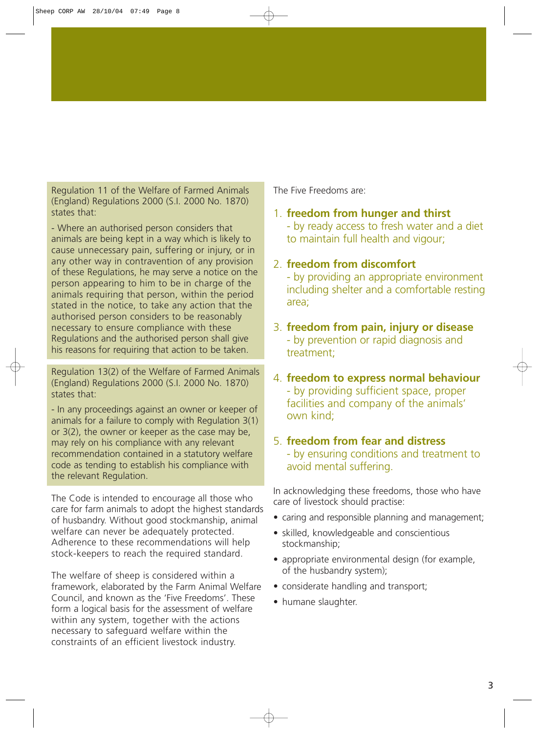Regulation 11 of the Welfare of Farmed Animals (England) Regulations 2000 (S.I. 2000 No. 1870) states that:

- Where an authorised person considers that animals are being kept in a way which is likely to cause unnecessary pain, suffering or injury, or in any other way in contravention of any provision of these Regulations, he may serve a notice on the person appearing to him to be in charge of the animals requiring that person, within the period stated in the notice, to take any action that the authorised person considers to be reasonably necessary to ensure compliance with these Regulations and the authorised person shall give his reasons for requiring that action to be taken.

Regulation 13(2) of the Welfare of Farmed Animals (England) Regulations 2000 (S.I. 2000 No. 1870) states that:

- In any proceedings against an owner or keeper of animals for a failure to comply with Regulation 3(1) or 3(2), the owner or keeper as the case may be, may rely on his compliance with any relevant recommendation contained in a statutory welfare code as tending to establish his compliance with the relevant Regulation.

The Code is intended to encourage all those who care for farm animals to adopt the highest standards of husbandry. Without good stockmanship, animal welfare can never be adequately protected. Adherence to these recommendations will help stock-keepers to reach the required standard.

The welfare of sheep is considered within a framework, elaborated by the Farm Animal Welfare Council, and known as the 'Five Freedoms'. These form a logical basis for the assessment of welfare within any system, together with the actions necessary to safeguard welfare within the constraints of an efficient livestock industry.

The Five Freedoms are:

- 1. **freedom from hunger and thirst** - by ready access to fresh water and a diet to maintain full health and vigour;
- 2. **freedom from discomfort**

- by providing an appropriate environment including shelter and a comfortable resting area;

- 3. **freedom from pain, injury or disease** - by prevention or rapid diagnosis and treatment;
- 4. **freedom to express normal behaviour** - by providing sufficient space, proper facilities and company of the animals' own kind;

### 5. **freedom from fear and distress** - by ensuring conditions and treatment to avoid mental suffering.

In acknowledging these freedoms, those who have care of livestock should practise:

- caring and responsible planning and management;
- skilled, knowledgeable and conscientious stockmanship;
- appropriate environmental design (for example, of the husbandry system);
- considerate handling and transport;
- humane slaughter.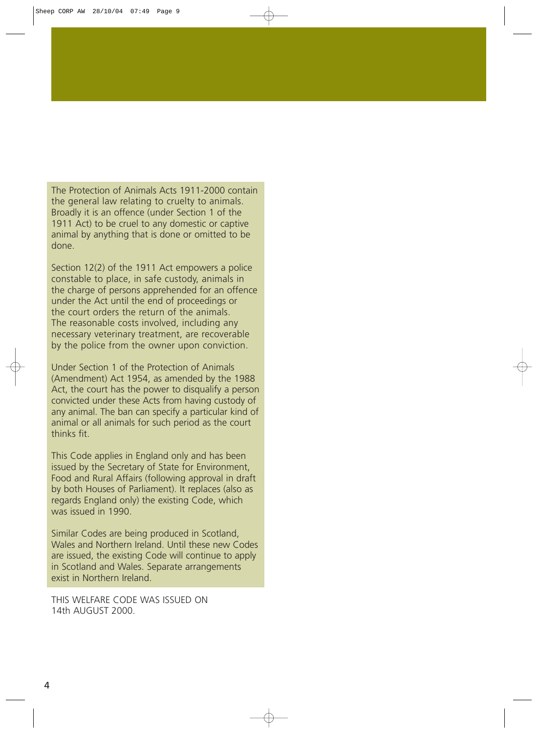The Protection of Animals Acts 1911-2000 contain the general law relating to cruelty to animals. Broadly it is an offence (under Section 1 of the 1911 Act) to be cruel to any domestic or captive animal by anything that is done or omitted to be done.

Section 12(2) of the 1911 Act empowers a police constable to place, in safe custody, animals in the charge of persons apprehended for an offence under the Act until the end of proceedings or the court orders the return of the animals. The reasonable costs involved, including any necessary veterinary treatment, are recoverable by the police from the owner upon conviction.

Under Section 1 of the Protection of Animals (Amendment) Act 1954, as amended by the 1988 Act, the court has the power to disqualify a person convicted under these Acts from having custody of any animal. The ban can specify a particular kind of animal or all animals for such period as the court thinks fit.

This Code applies in England only and has been issued by the Secretary of State for Environment, Food and Rural Affairs (following approval in draft by both Houses of Parliament). It replaces (also as regards England only) the existing Code, which was issued in 1990.

Similar Codes are being produced in Scotland, Wales and Northern Ireland. Until these new Codes are issued, the existing Code will continue to apply in Scotland and Wales. Separate arrangements exist in Northern Ireland.

THIS WELFARE CODE WAS ISSUED ON 14th AUGUST 2000.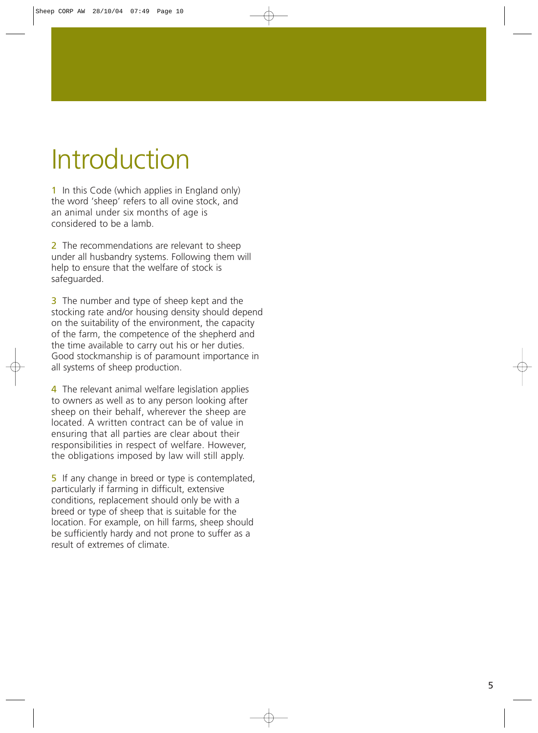# Introduction

1 In this Code (which applies in England only) the word 'sheep' refers to all ovine stock, and an animal under six months of age is considered to be a lamb.

2 The recommendations are relevant to sheep under all husbandry systems. Following them will help to ensure that the welfare of stock is safeguarded.

3 The number and type of sheep kept and the stocking rate and/or housing density should depend on the suitability of the environment, the capacity of the farm, the competence of the shepherd and the time available to carry out his or her duties. Good stockmanship is of paramount importance in all systems of sheep production.

4 The relevant animal welfare legislation applies to owners as well as to any person looking after sheep on their behalf, wherever the sheep are located. A written contract can be of value in ensuring that all parties are clear about their responsibilities in respect of welfare. However, the obligations imposed by law will still apply.

5 If any change in breed or type is contemplated, particularly if farming in difficult, extensive conditions, replacement should only be with a breed or type of sheep that is suitable for the location. For example, on hill farms, sheep should be sufficiently hardy and not prone to suffer as a result of extremes of climate.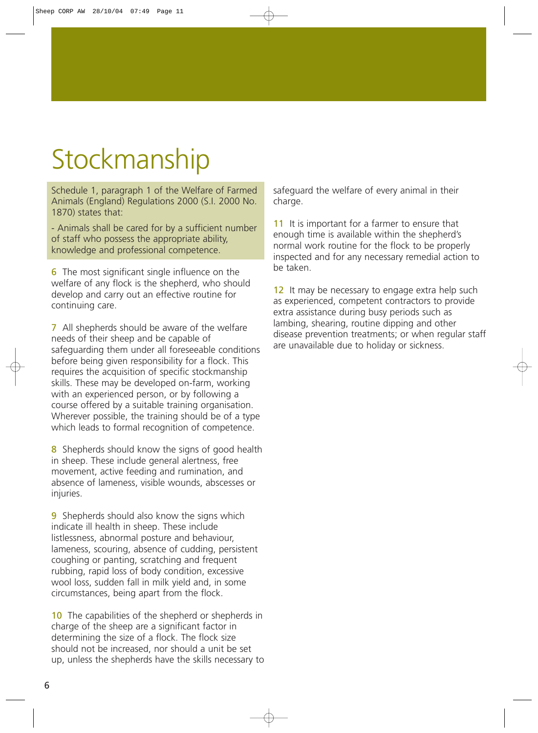# **Stockmanship**

Schedule 1, paragraph 1 of the Welfare of Farmed Animals (England) Regulations 2000 (S.I. 2000 No. 1870) states that:

- Animals shall be cared for by a sufficient number of staff who possess the appropriate ability, knowledge and professional competence.

6 The most significant single influence on the welfare of any flock is the shepherd, who should develop and carry out an effective routine for continuing care.

7 All shepherds should be aware of the welfare needs of their sheep and be capable of safeguarding them under all foreseeable conditions before being given responsibility for a flock. This requires the acquisition of specific stockmanship skills. These may be developed on-farm, working with an experienced person, or by following a course offered by a suitable training organisation. Wherever possible, the training should be of a type which leads to formal recognition of competence.

8 Shepherds should know the signs of good health in sheep. These include general alertness, free movement, active feeding and rumination, and absence of lameness, visible wounds, abscesses or injuries.

**9** Shepherds should also know the signs which indicate ill health in sheep. These include listlessness, abnormal posture and behaviour, lameness, scouring, absence of cudding, persistent coughing or panting, scratching and frequent rubbing, rapid loss of body condition, excessive wool loss, sudden fall in milk yield and, in some circumstances, being apart from the flock.

10 The capabilities of the shepherd or shepherds in charge of the sheep are a significant factor in determining the size of a flock. The flock size should not be increased, nor should a unit be set up, unless the shepherds have the skills necessary to safeguard the welfare of every animal in their charge.

11 It is important for a farmer to ensure that enough time is available within the shepherd's normal work routine for the flock to be properly inspected and for any necessary remedial action to be taken.

12 It may be necessary to engage extra help such as experienced, competent contractors to provide extra assistance during busy periods such as lambing, shearing, routine dipping and other disease prevention treatments; or when regular staff are unavailable due to holiday or sickness.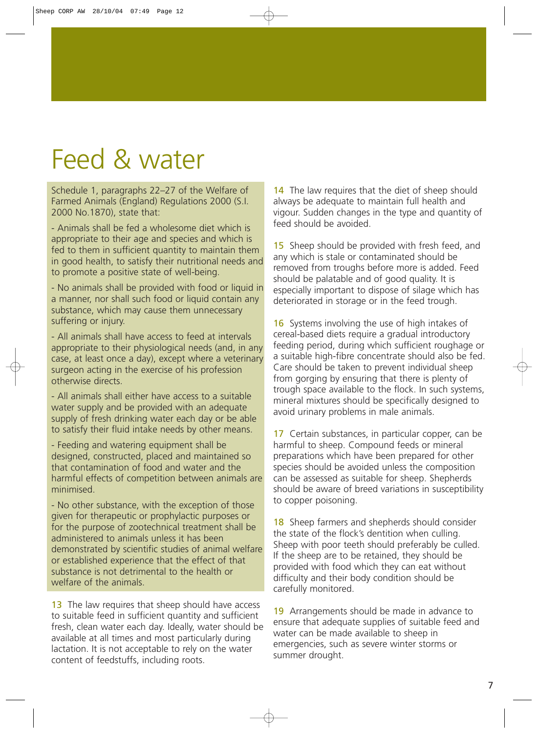## Feed & water

Schedule 1, paragraphs 22–27 of the Welfare of Farmed Animals (England) Regulations 2000 (S.I. 2000 No.1870), state that:

- Animals shall be fed a wholesome diet which is appropriate to their age and species and which is fed to them in sufficient quantity to maintain them in good health, to satisfy their nutritional needs and to promote a positive state of well-being.

- No animals shall be provided with food or liquid in a manner, nor shall such food or liquid contain any substance, which may cause them unnecessary suffering or injury.

- All animals shall have access to feed at intervals appropriate to their physiological needs (and, in any case, at least once a day), except where a veterinary surgeon acting in the exercise of his profession otherwise directs.

- All animals shall either have access to a suitable water supply and be provided with an adequate supply of fresh drinking water each day or be able to satisfy their fluid intake needs by other means.

- Feeding and watering equipment shall be designed, constructed, placed and maintained so that contamination of food and water and the harmful effects of competition between animals are minimised.

- No other substance, with the exception of those given for therapeutic or prophylactic purposes or for the purpose of zootechnical treatment shall be administered to animals unless it has been demonstrated by scientific studies of animal welfare or established experience that the effect of that substance is not detrimental to the health or welfare of the animals.

13 The law requires that sheep should have access to suitable feed in sufficient quantity and sufficient fresh, clean water each day. Ideally, water should be available at all times and most particularly during lactation. It is not acceptable to rely on the water content of feedstuffs, including roots.

14 The law requires that the diet of sheep should always be adequate to maintain full health and vigour. Sudden changes in the type and quantity of feed should be avoided.

15 Sheep should be provided with fresh feed, and any which is stale or contaminated should be removed from troughs before more is added. Feed should be palatable and of good quality. It is especially important to dispose of silage which has deteriorated in storage or in the feed trough.

16 Systems involving the use of high intakes of cereal-based diets require a gradual introductory feeding period, during which sufficient roughage or a suitable high-fibre concentrate should also be fed. Care should be taken to prevent individual sheep from gorging by ensuring that there is plenty of trough space available to the flock. In such systems, mineral mixtures should be specifically designed to avoid urinary problems in male animals.

17 Certain substances, in particular copper, can be harmful to sheep. Compound feeds or mineral preparations which have been prepared for other species should be avoided unless the composition can be assessed as suitable for sheep. Shepherds should be aware of breed variations in susceptibility to copper poisoning.

18 Sheep farmers and shepherds should consider the state of the flock's dentition when culling. Sheep with poor teeth should preferably be culled. If the sheep are to be retained, they should be provided with food which they can eat without difficulty and their body condition should be carefully monitored.

19 Arrangements should be made in advance to ensure that adequate supplies of suitable feed and water can be made available to sheep in emergencies, such as severe winter storms or summer drought.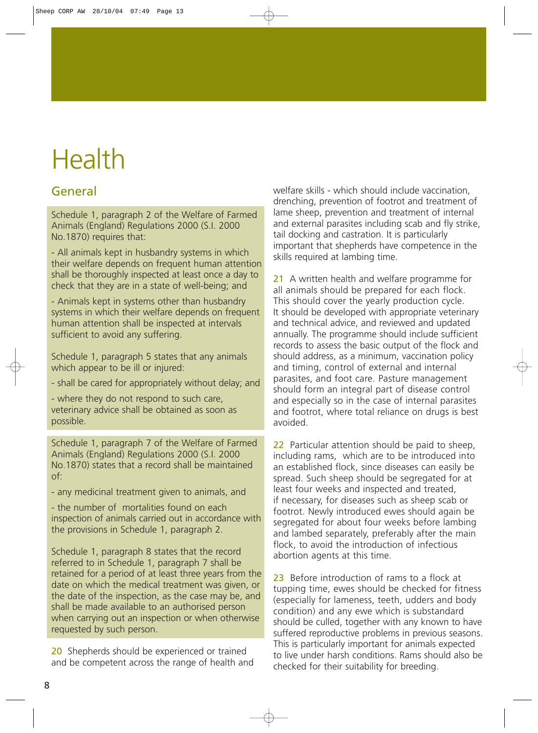# Health

### General

Schedule 1, paragraph 2 of the Welfare of Farmed Animals (England) Regulations 2000 (S.I. 2000 No.1870) requires that:

- All animals kept in husbandry systems in which their welfare depends on frequent human attention shall be thoroughly inspected at least once a day to check that they are in a state of well-being; and

- Animals kept in systems other than husbandry systems in which their welfare depends on frequent human attention shall be inspected at intervals sufficient to avoid any suffering.

Schedule 1, paragraph 5 states that any animals which appear to be ill or injured:

- shall be cared for appropriately without delay; and

- where they do not respond to such care, veterinary advice shall be obtained as soon as possible.

Schedule 1, paragraph 7 of the Welfare of Farmed Animals (England) Regulations 2000 (S.I. 2000 No.1870) states that a record shall be maintained of:

- any medicinal treatment given to animals, and

- the number of mortalities found on each inspection of animals carried out in accordance with the provisions in Schedule 1, paragraph 2.

Schedule 1, paragraph 8 states that the record referred to in Schedule 1, paragraph 7 shall be retained for a period of at least three years from the date on which the medical treatment was given, or the date of the inspection, as the case may be, and shall be made available to an authorised person when carrying out an inspection or when otherwise requested by such person.

20 Shepherds should be experienced or trained and be competent across the range of health and welfare skills - which should include vaccination, drenching, prevention of footrot and treatment of lame sheep, prevention and treatment of internal and external parasites including scab and fly strike, tail docking and castration. It is particularly important that shepherds have competence in the skills required at lambing time.

21 A written health and welfare programme for all animals should be prepared for each flock. This should cover the yearly production cycle. It should be developed with appropriate veterinary and technical advice, and reviewed and updated annually. The programme should include sufficient records to assess the basic output of the flock and should address, as a minimum, vaccination policy and timing, control of external and internal parasites, and foot care. Pasture management should form an integral part of disease control and especially so in the case of internal parasites and footrot, where total reliance on drugs is best avoided.

22 Particular attention should be paid to sheep. including rams, which are to be introduced into an established flock, since diseases can easily be spread. Such sheep should be segregated for at least four weeks and inspected and treated, if necessary, for diseases such as sheep scab or footrot. Newly introduced ewes should again be segregated for about four weeks before lambing and lambed separately, preferably after the main flock, to avoid the introduction of infectious abortion agents at this time.

23 Before introduction of rams to a flock at tupping time, ewes should be checked for fitness (especially for lameness, teeth, udders and body condition) and any ewe which is substandard should be culled, together with any known to have suffered reproductive problems in previous seasons. This is particularly important for animals expected to live under harsh conditions. Rams should also be checked for their suitability for breeding.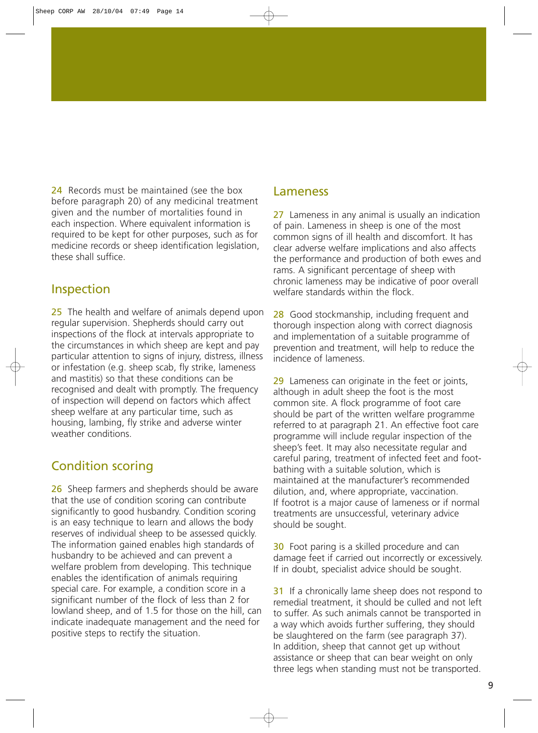24 Records must be maintained (see the box before paragraph 20) of any medicinal treatment given and the number of mortalities found in each inspection. Where equivalent information is required to be kept for other purposes, such as for medicine records or sheep identification legislation, these shall suffice.

### Inspection

25 The health and welfare of animals depend upon regular supervision. Shepherds should carry out inspections of the flock at intervals appropriate to the circumstances in which sheep are kept and pay particular attention to signs of injury, distress, illness or infestation (e.g. sheep scab, fly strike, lameness and mastitis) so that these conditions can be recognised and dealt with promptly. The frequency of inspection will depend on factors which affect sheep welfare at any particular time, such as housing, lambing, fly strike and adverse winter weather conditions.

### Condition scoring

26 Sheep farmers and shepherds should be aware that the use of condition scoring can contribute significantly to good husbandry. Condition scoring is an easy technique to learn and allows the body reserves of individual sheep to be assessed quickly. The information gained enables high standards of husbandry to be achieved and can prevent a welfare problem from developing. This technique enables the identification of animals requiring special care. For example, a condition score in a significant number of the flock of less than 2 for lowland sheep, and of 1.5 for those on the hill, can indicate inadequate management and the need for positive steps to rectify the situation.

### Lameness

27 Lameness in any animal is usually an indication of pain. Lameness in sheep is one of the most common signs of ill health and discomfort. It has clear adverse welfare implications and also affects the performance and production of both ewes and rams. A significant percentage of sheep with chronic lameness may be indicative of poor overall welfare standards within the flock.

28 Good stockmanship, including frequent and thorough inspection along with correct diagnosis and implementation of a suitable programme of prevention and treatment, will help to reduce the incidence of lameness.

29 Lameness can originate in the feet or joints, although in adult sheep the foot is the most common site. A flock programme of foot care should be part of the written welfare programme referred to at paragraph 21. An effective foot care programme will include regular inspection of the sheep's feet. It may also necessitate regular and careful paring, treatment of infected feet and footbathing with a suitable solution, which is maintained at the manufacturer's recommended dilution, and, where appropriate, vaccination. If footrot is a major cause of lameness or if normal treatments are unsuccessful, veterinary advice should be sought.

30 Foot paring is a skilled procedure and can damage feet if carried out incorrectly or excessively. If in doubt, specialist advice should be sought.

31 If a chronically lame sheep does not respond to remedial treatment, it should be culled and not left to suffer. As such animals cannot be transported in a way which avoids further suffering, they should be slaughtered on the farm (see paragraph 37). In addition, sheep that cannot get up without assistance or sheep that can bear weight on only three legs when standing must not be transported.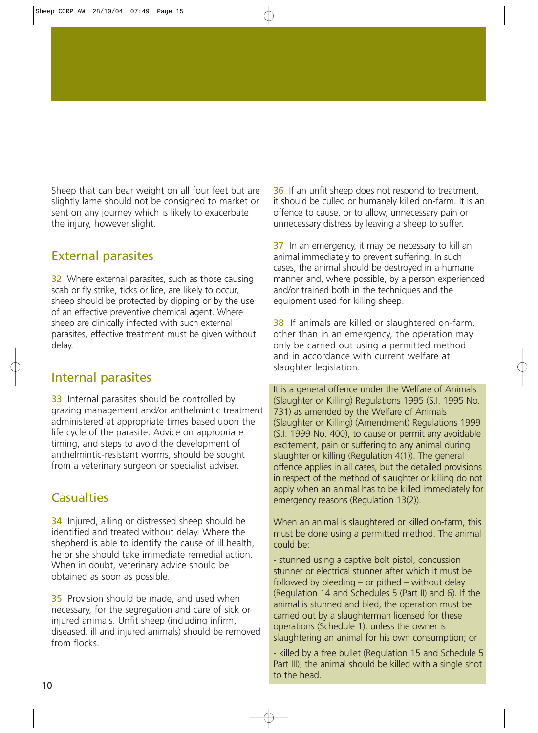Sheep that can bear weight on all four feet but are slightly lame should not be consigned to market or sent on any journey which is likely to exacerbate the injury, however slight.

### External parasites

32 Where external parasites, such as those causing scab or fly strike, ticks or lice, are likely to occur, sheep should be protected by dipping or by the use of an effective preventive chemical agent. Where sheep are clinically infected with such external parasites, effective treatment must be given without delay.

### Internal parasites

33 Internal parasites should be controlled by grazing management and/or anthelmintic treatment administered at appropriate times based upon the life cycle of the parasite. Advice on appropriate timing, and steps to avoid the development of anthelmintic-resistant worms, should be sought from a veterinary surgeon or specialist adviser.

### **Casualties**

34 Injured, ailing or distressed sheep should be identified and treated without delay. Where the shepherd is able to identify the cause of ill health, he or she should take immediate remedial action. When in doubt, veterinary advice should be obtained as soon as possible.

**35** Provision should be made, and used when necessary, for the segregation and care of sick or injured animals. Unfit sheep (including infirm, diseased, ill and injured animals) should be removed from flocks.

36 If an unfit sheep does not respond to treatment, it should be culled or humanely killed on-farm. It is an offence to cause, or to allow, unnecessary pain or unnecessary distress by leaving a sheep to suffer.

37 In an emergency, it may be necessary to kill an animal immediately to prevent suffering. In such cases, the animal should be destroyed in a humane manner and, where possible, by a person experienced and/or trained both in the techniques and the equipment used for killing sheep.

38 If animals are killed or slaughtered on-farm, other than in an emergency, the operation may only be carried out using a permitted method and in accordance with current welfare at slaughter legislation.

It is a general offence under the Welfare of Animals (Slaughter or Killing) Regulations 1995 (S.I. 1995 No. 731) as amended by the Welfare of Animals (Slaughter or Killing) (Amendment) Regulations 1999 (S.I. 1999 No. 400), to cause or permit any avoidable excitement, pain or suffering to any animal during slaughter or killing (Regulation 4(1)). The general offence applies in all cases, but the detailed provisions in respect of the method of slaughter or killing do not apply when an animal has to be killed immediately for emergency reasons (Regulation 13(2)).

When an animal is slaughtered or killed on-farm, this must be done using a permitted method. The animal could be:

- stunned using a captive bolt pistol, concussion stunner or electrical stunner after which it must be followed by bleeding – or pithed – without delay (Regulation 14 and Schedules 5 (Part II) and 6). If the animal is stunned and bled, the operation must be carried out by a slaughterman licensed for these operations (Schedule 1), unless the owner is slaughtering an animal for his own consumption; or

- killed by a free bullet (Regulation 15 and Schedule 5 Part III); the animal should be killed with a single shot to the head.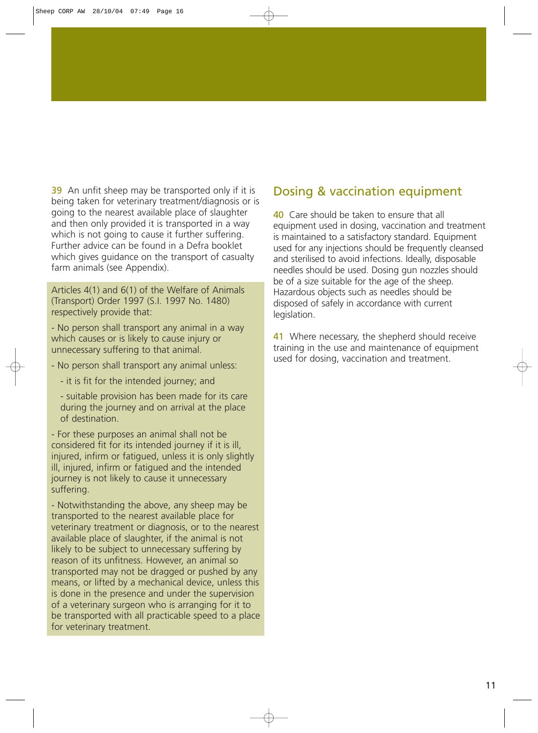39 An unfit sheep may be transported only if it is being taken for veterinary treatment/diagnosis or is going to the nearest available place of slaughter and then only provided it is transported in a way which is not going to cause it further suffering. Further advice can be found in a Defra booklet which gives guidance on the transport of casualty farm animals (see Appendix).

Articles 4(1) and 6(1) of the Welfare of Animals (Transport) Order 1997 (S.I. 1997 No. 1480) respectively provide that:

- No person shall transport any animal in a way which causes or is likely to cause injury or unnecessary suffering to that animal.

- No person shall transport any animal unless:
	- it is fit for the intended journey; and

- suitable provision has been made for its care during the journey and on arrival at the place of destination.

- For these purposes an animal shall not be considered fit for its intended journey if it is ill, injured, infirm or fatigued, unless it is only slightly ill, injured, infirm or fatigued and the intended journey is not likely to cause it unnecessary suffering.

- Notwithstanding the above, any sheep may be transported to the nearest available place for veterinary treatment or diagnosis, or to the nearest available place of slaughter, if the animal is not likely to be subject to unnecessary suffering by reason of its unfitness. However, an animal so transported may not be dragged or pushed by any means, or lifted by a mechanical device, unless this is done in the presence and under the supervision of a veterinary surgeon who is arranging for it to be transported with all practicable speed to a place for veterinary treatment.

### Dosing & vaccination equipment

40 Care should be taken to ensure that all equipment used in dosing, vaccination and treatment is maintained to a satisfactory standard. Equipment used for any injections should be frequently cleansed and sterilised to avoid infections. Ideally, disposable needles should be used. Dosing gun nozzles should be of a size suitable for the age of the sheep. Hazardous objects such as needles should be disposed of safely in accordance with current legislation.

41 Where necessary, the shepherd should receive training in the use and maintenance of equipment used for dosing, vaccination and treatment.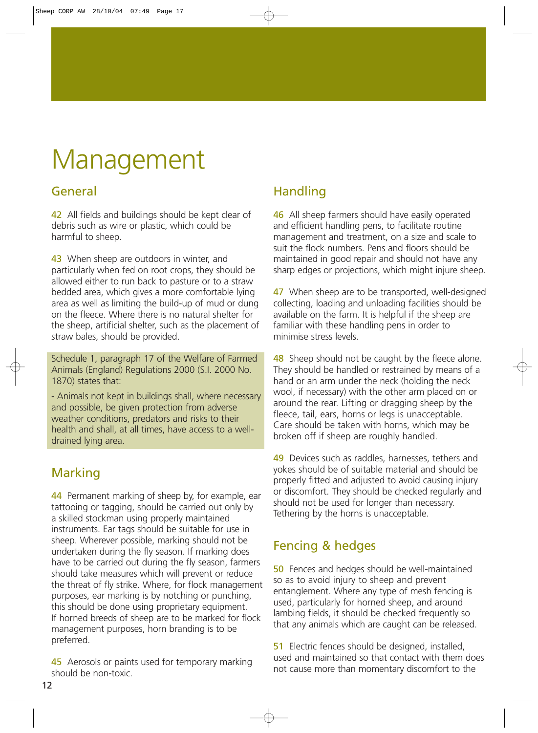# Management

### General

42 All fields and buildings should be kept clear of debris such as wire or plastic, which could be harmful to sheep.

43 When sheep are outdoors in winter, and particularly when fed on root crops, they should be allowed either to run back to pasture or to a straw bedded area, which gives a more comfortable lying area as well as limiting the build-up of mud or dung on the fleece. Where there is no natural shelter for the sheep, artificial shelter, such as the placement of straw bales, should be provided.

Schedule 1, paragraph 17 of the Welfare of Farmed Animals (England) Regulations 2000 (S.I. 2000 No. 1870) states that:

- Animals not kept in buildings shall, where necessary and possible, be given protection from adverse weather conditions, predators and risks to their health and shall, at all times, have access to a welldrained lying area.

### Marking

44 Permanent marking of sheep by, for example, ear tattooing or tagging, should be carried out only by a skilled stockman using properly maintained instruments. Ear tags should be suitable for use in sheep. Wherever possible, marking should not be undertaken during the fly season. If marking does have to be carried out during the fly season, farmers should take measures which will prevent or reduce the threat of fly strike. Where, for flock management purposes, ear marking is by notching or punching, this should be done using proprietary equipment. If horned breeds of sheep are to be marked for flock management purposes, horn branding is to be preferred.

45 Aerosols or paints used for temporary marking should be non-toxic.

### Handling

46 All sheep farmers should have easily operated and efficient handling pens, to facilitate routine management and treatment, on a size and scale to suit the flock numbers. Pens and floors should be maintained in good repair and should not have any sharp edges or projections, which might injure sheep.

47 When sheep are to be transported, well-designed collecting, loading and unloading facilities should be available on the farm. It is helpful if the sheep are familiar with these handling pens in order to minimise stress levels.

48 Sheep should not be caught by the fleece alone. They should be handled or restrained by means of a hand or an arm under the neck (holding the neck wool, if necessary) with the other arm placed on or around the rear. Lifting or dragging sheep by the fleece, tail, ears, horns or legs is unacceptable. Care should be taken with horns, which may be broken off if sheep are roughly handled.

49 Devices such as raddles, harnesses, tethers and yokes should be of suitable material and should be properly fitted and adjusted to avoid causing injury or discomfort. They should be checked regularly and should not be used for longer than necessary. Tethering by the horns is unacceptable.

### Fencing & hedges

50 Fences and hedges should be well-maintained so as to avoid injury to sheep and prevent entanglement. Where any type of mesh fencing is used, particularly for horned sheep, and around lambing fields, it should be checked frequently so that any animals which are caught can be released.

51 Electric fences should be designed, installed, used and maintained so that contact with them does not cause more than momentary discomfort to the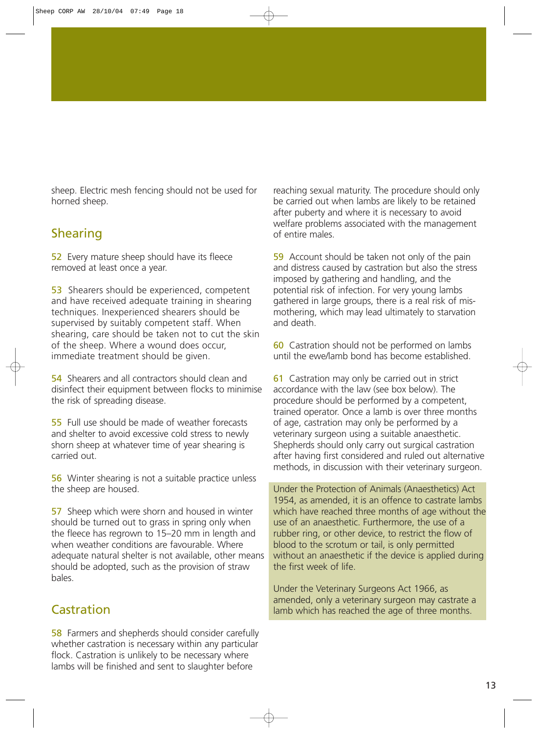sheep. Electric mesh fencing should not be used for horned sheep.

### Shearing

52 Every mature sheep should have its fleece removed at least once a year.

53 Shearers should be experienced, competent and have received adequate training in shearing techniques. Inexperienced shearers should be supervised by suitably competent staff. When shearing, care should be taken not to cut the skin of the sheep. Where a wound does occur, immediate treatment should be given.

54 Shearers and all contractors should clean and disinfect their equipment between flocks to minimise the risk of spreading disease.

55 Full use should be made of weather forecasts and shelter to avoid excessive cold stress to newly shorn sheep at whatever time of year shearing is carried out.

56 Winter shearing is not a suitable practice unless the sheep are housed.

57 Sheep which were shorn and housed in winter should be turned out to grass in spring only when the fleece has regrown to 15–20 mm in length and when weather conditions are favourable. Where adequate natural shelter is not available, other means should be adopted, such as the provision of straw bales.

### **Castration**

58 Farmers and shepherds should consider carefully whether castration is necessary within any particular flock. Castration is unlikely to be necessary where lambs will be finished and sent to slaughter before

reaching sexual maturity. The procedure should only be carried out when lambs are likely to be retained after puberty and where it is necessary to avoid welfare problems associated with the management of entire males.

59 Account should be taken not only of the pain and distress caused by castration but also the stress imposed by gathering and handling, and the potential risk of infection. For very young lambs gathered in large groups, there is a real risk of mismothering, which may lead ultimately to starvation and death.

60 Castration should not be performed on lambs until the ewe/lamb bond has become established.

**61** Castration may only be carried out in strict accordance with the law (see box below). The procedure should be performed by a competent, trained operator. Once a lamb is over three months of age, castration may only be performed by a veterinary surgeon using a suitable anaesthetic. Shepherds should only carry out surgical castration after having first considered and ruled out alternative methods, in discussion with their veterinary surgeon.

Under the Protection of Animals (Anaesthetics) Act 1954, as amended, it is an offence to castrate lambs which have reached three months of age without the use of an anaesthetic. Furthermore, the use of a rubber ring, or other device, to restrict the flow of blood to the scrotum or tail, is only permitted without an anaesthetic if the device is applied during the first week of life.

Under the Veterinary Surgeons Act 1966, as amended, only a veterinary surgeon may castrate a lamb which has reached the age of three months.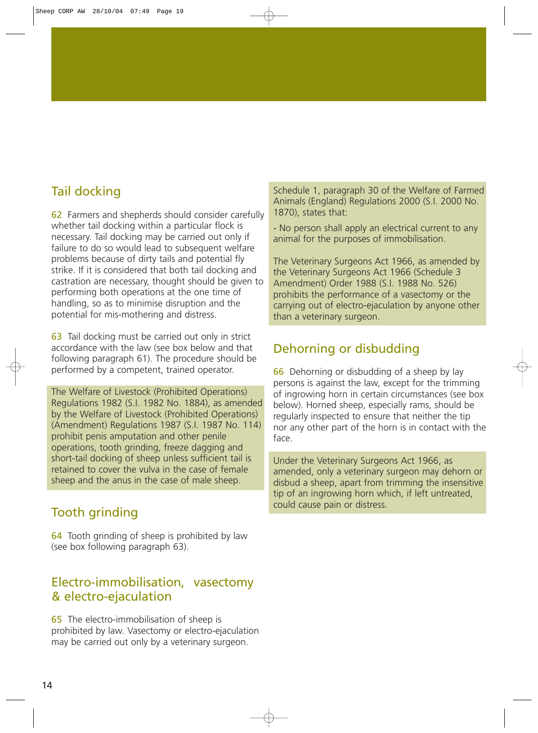### Tail docking

62 Farmers and shepherds should consider carefully whether tail docking within a particular flock is necessary. Tail docking may be carried out only if failure to do so would lead to subsequent welfare problems because of dirty tails and potential fly strike. If it is considered that both tail docking and castration are necessary, thought should be given to performing both operations at the one time of handling, so as to minimise disruption and the potential for mis-mothering and distress.

63 Tail docking must be carried out only in strict accordance with the law (see box below and that following paragraph 61). The procedure should be performed by a competent, trained operator.

The Welfare of Livestock (Prohibited Operations) Regulations 1982 (S.I. 1982 No. 1884), as amended by the Welfare of Livestock (Prohibited Operations) (Amendment) Regulations 1987 (S.I. 1987 No. 114) prohibit penis amputation and other penile operations, tooth grinding, freeze dagging and short-tail docking of sheep unless sufficient tail is retained to cover the vulva in the case of female sheep and the anus in the case of male sheep.

### Tooth grinding

64 Tooth grinding of sheep is prohibited by law (see box following paragraph 63).

### Electro-immobilisation, vasectomy & electro-ejaculation

65 The electro-immobilisation of sheep is prohibited by law. Vasectomy or electro-ejaculation may be carried out only by a veterinary surgeon.

Schedule 1, paragraph 30 of the Welfare of Farmed Animals (England) Regulations 2000 (S.I. 2000 No. 1870), states that:

- No person shall apply an electrical current to any animal for the purposes of immobilisation.

The Veterinary Surgeons Act 1966, as amended by the Veterinary Surgeons Act 1966 (Schedule 3 Amendment) Order 1988 (S.I. 1988 No. 526) prohibits the performance of a vasectomy or the carrying out of electro-ejaculation by anyone other than a veterinary surgeon.

### Dehorning or disbudding

66 Dehorning or disbudding of a sheep by lay persons is against the law, except for the trimming of ingrowing horn in certain circumstances (see box below). Horned sheep, especially rams, should be regularly inspected to ensure that neither the tip nor any other part of the horn is in contact with the face.

Under the Veterinary Surgeons Act 1966, as amended, only a veterinary surgeon may dehorn or disbud a sheep, apart from trimming the insensitive tip of an ingrowing horn which, if left untreated, could cause pain or distress.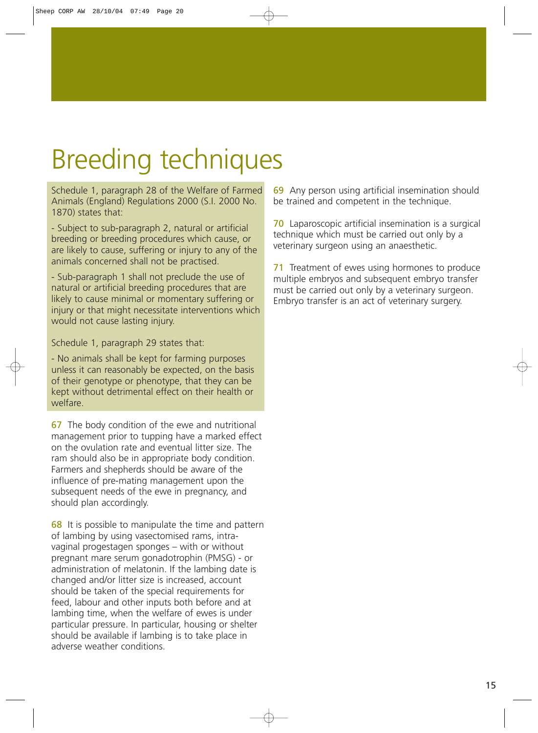# Breeding techniques

Schedule 1, paragraph 28 of the Welfare of Farmed Animals (England) Regulations 2000 (S.I. 2000 No. 1870) states that:

- Subject to sub-paragraph 2, natural or artificial breeding or breeding procedures which cause, or are likely to cause, suffering or injury to any of the animals concerned shall not be practised.

- Sub-paragraph 1 shall not preclude the use of natural or artificial breeding procedures that are likely to cause minimal or momentary suffering or injury or that might necessitate interventions which would not cause lasting injury.

Schedule 1, paragraph 29 states that:

- No animals shall be kept for farming purposes unless it can reasonably be expected, on the basis of their genotype or phenotype, that they can be kept without detrimental effect on their health or welfare.

67 The body condition of the ewe and nutritional management prior to tupping have a marked effect on the ovulation rate and eventual litter size. The ram should also be in appropriate body condition. Farmers and shepherds should be aware of the influence of pre-mating management upon the subsequent needs of the ewe in pregnancy, and should plan accordingly.

68 It is possible to manipulate the time and pattern of lambing by using vasectomised rams, intravaginal progestagen sponges – with or without pregnant mare serum gonadotrophin (PMSG) - or administration of melatonin. If the lambing date is changed and/or litter size is increased, account should be taken of the special requirements for feed, labour and other inputs both before and at lambing time, when the welfare of ewes is under particular pressure. In particular, housing or shelter should be available if lambing is to take place in adverse weather conditions.

69 Any person using artificial insemination should be trained and competent in the technique.

70 Laparoscopic artificial insemination is a surgical technique which must be carried out only by a veterinary surgeon using an anaesthetic.

71 Treatment of ewes using hormones to produce multiple embryos and subsequent embryo transfer must be carried out only by a veterinary surgeon. Embryo transfer is an act of veterinary surgery.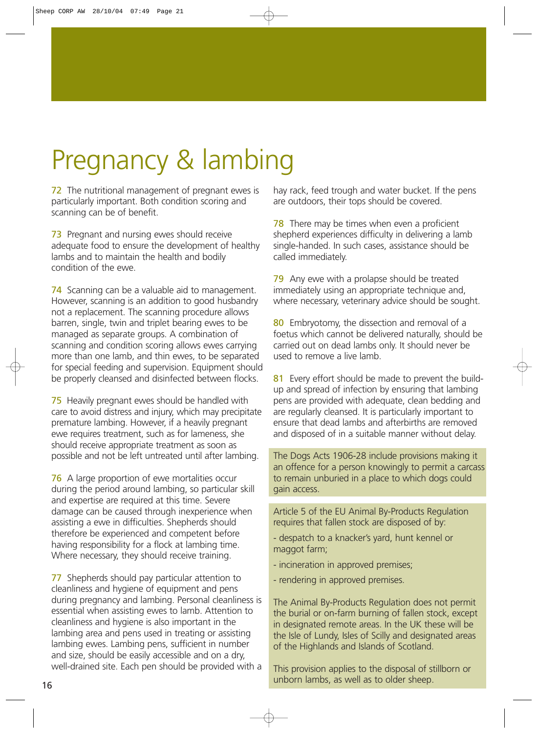# Pregnancy & lambing

72 The nutritional management of pregnant ewes is particularly important. Both condition scoring and scanning can be of benefit.

**73** Pregnant and nursing ewes should receive adequate food to ensure the development of healthy lambs and to maintain the health and bodily condition of the ewe.

74 Scanning can be a valuable aid to management. However, scanning is an addition to good husbandry not a replacement. The scanning procedure allows barren, single, twin and triplet bearing ewes to be managed as separate groups. A combination of scanning and condition scoring allows ewes carrying more than one lamb, and thin ewes, to be separated for special feeding and supervision. Equipment should be properly cleansed and disinfected between flocks.

75 Heavily pregnant ewes should be handled with care to avoid distress and injury, which may precipitate premature lambing. However, if a heavily pregnant ewe requires treatment, such as for lameness, she should receive appropriate treatment as soon as possible and not be left untreated until after lambing.

76 A large proportion of ewe mortalities occur during the period around lambing, so particular skill and expertise are required at this time. Severe damage can be caused through inexperience when assisting a ewe in difficulties. Shepherds should therefore be experienced and competent before having responsibility for a flock at lambing time. Where necessary, they should receive training.

77 Shepherds should pay particular attention to cleanliness and hygiene of equipment and pens during pregnancy and lambing. Personal cleanliness is essential when assisting ewes to lamb. Attention to cleanliness and hygiene is also important in the lambing area and pens used in treating or assisting lambing ewes. Lambing pens, sufficient in number and size, should be easily accessible and on a dry, well-drained site. Each pen should be provided with a

hay rack, feed trough and water bucket. If the pens are outdoors, their tops should be covered.

**78** There may be times when even a proficient shepherd experiences difficulty in delivering a lamb single-handed. In such cases, assistance should be called immediately.

79 Any ewe with a prolapse should be treated immediately using an appropriate technique and, where necessary, veterinary advice should be sought.

80 Embryotomy, the dissection and removal of a foetus which cannot be delivered naturally, should be carried out on dead lambs only. It should never be used to remove a live lamb.

81 Every effort should be made to prevent the buildup and spread of infection by ensuring that lambing pens are provided with adequate, clean bedding and are regularly cleansed. It is particularly important to ensure that dead lambs and afterbirths are removed and disposed of in a suitable manner without delay.

The Dogs Acts 1906-28 include provisions making it an offence for a person knowingly to permit a carcass to remain unburied in a place to which dogs could gain access.

Article 5 of the EU Animal By-Products Regulation requires that fallen stock are disposed of by:

- despatch to a knacker's yard, hunt kennel or maggot farm;
- incineration in approved premises;
- rendering in approved premises.

The Animal By-Products Regulation does not permit the burial or on-farm burning of fallen stock, except in designated remote areas. In the UK these will be the Isle of Lundy, Isles of Scilly and designated areas of the Highlands and Islands of Scotland.

This provision applies to the disposal of stillborn or **unborn lambs, as well as to older sheep. 16 unborn lambs**, as well as to older sheep.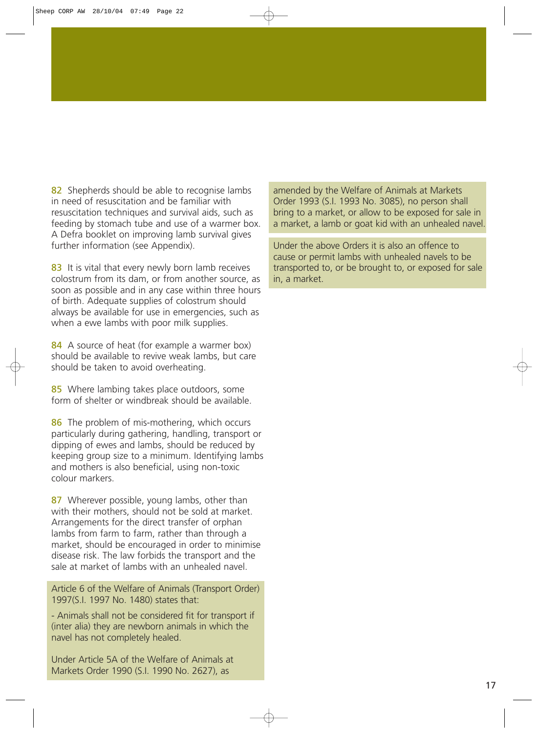82 Shepherds should be able to recognise lambs in need of resuscitation and be familiar with resuscitation techniques and survival aids, such as feeding by stomach tube and use of a warmer box. A Defra booklet on improving lamb survival gives further information (see Appendix).

83 It is vital that every newly born lamb receives colostrum from its dam, or from another source, as soon as possible and in any case within three hours of birth. Adequate supplies of colostrum should always be available for use in emergencies, such as when a ewe lambs with poor milk supplies.

84 A source of heat (for example a warmer box) should be available to revive weak lambs, but care should be taken to avoid overheating.

85 Where lambing takes place outdoors, some form of shelter or windbreak should be available.

86 The problem of mis-mothering, which occurs particularly during gathering, handling, transport or dipping of ewes and lambs, should be reduced by keeping group size to a minimum. Identifying lambs and mothers is also beneficial, using non-toxic colour markers.

87 Wherever possible, young lambs, other than with their mothers, should not be sold at market. Arrangements for the direct transfer of orphan lambs from farm to farm, rather than through a market, should be encouraged in order to minimise disease risk. The law forbids the transport and the sale at market of lambs with an unhealed navel.

Article 6 of the Welfare of Animals (Transport Order) 1997(S.I. 1997 No. 1480) states that:

- Animals shall not be considered fit for transport if (inter alia) they are newborn animals in which the navel has not completely healed.

Under Article 5A of the Welfare of Animals at Markets Order 1990 (S.I. 1990 No. 2627), as

amended by the Welfare of Animals at Markets Order 1993 (S.I. 1993 No. 3085), no person shall bring to a market, or allow to be exposed for sale in a market, a lamb or goat kid with an unhealed navel.

Under the above Orders it is also an offence to cause or permit lambs with unhealed navels to be transported to, or be brought to, or exposed for sale in, a market.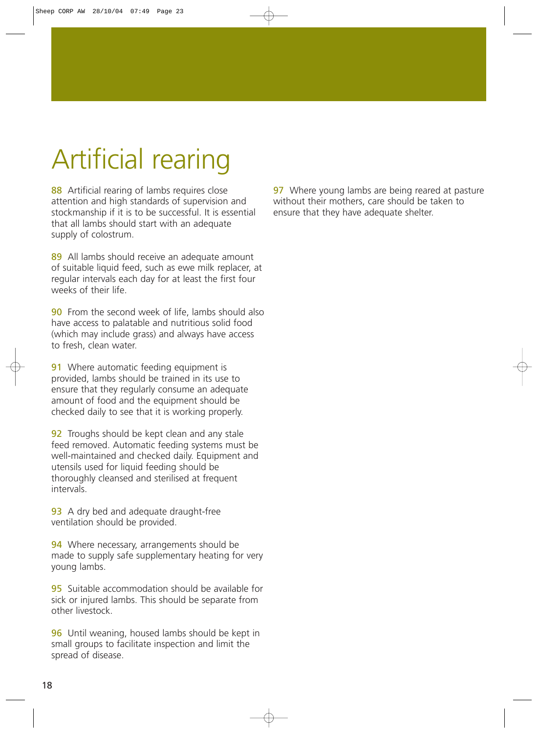# Artificial rearing

88 Artificial rearing of lambs requires close attention and high standards of supervision and stockmanship if it is to be successful. It is essential that all lambs should start with an adequate supply of colostrum.

89 All lambs should receive an adequate amount of suitable liquid feed, such as ewe milk replacer, at regular intervals each day for at least the first four weeks of their life.

**90** From the second week of life, lambs should also have access to palatable and nutritious solid food (which may include grass) and always have access to fresh, clean water.

**91** Where automatic feeding equipment is provided, lambs should be trained in its use to ensure that they regularly consume an adequate amount of food and the equipment should be checked daily to see that it is working properly.

**92** Troughs should be kept clean and any stale feed removed. Automatic feeding systems must be well-maintained and checked daily. Equipment and utensils used for liquid feeding should be thoroughly cleansed and sterilised at frequent intervals.

93 A dry bed and adequate draught-free ventilation should be provided.

94 Where necessary, arrangements should be made to supply safe supplementary heating for very young lambs.

95 Suitable accommodation should be available for sick or injured lambs. This should be separate from other livestock.

96 Until weaning, housed lambs should be kept in small groups to facilitate inspection and limit the spread of disease.

97 Where young lambs are being reared at pasture without their mothers, care should be taken to ensure that they have adequate shelter.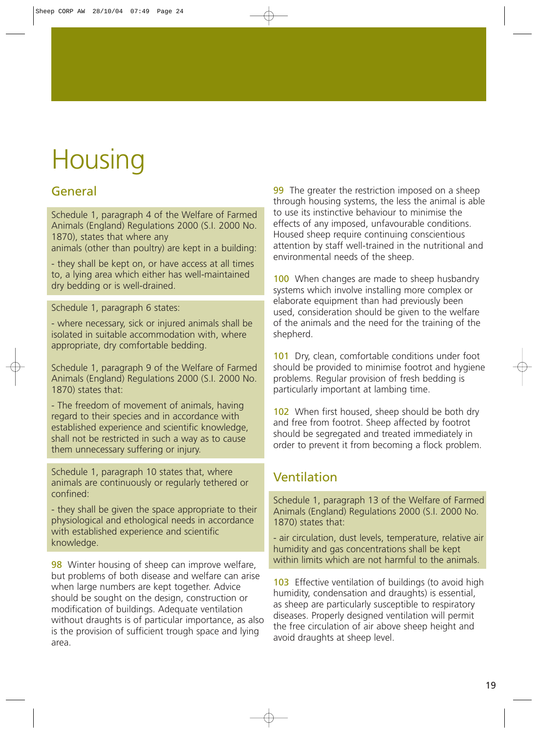# **Housing**

### General

Schedule 1, paragraph 4 of the Welfare of Farmed Animals (England) Regulations 2000 (S.I. 2000 No. 1870), states that where any

animals (other than poultry) are kept in a building:

- they shall be kept on, or have access at all times to, a lying area which either has well-maintained dry bedding or is well-drained.

### Schedule 1, paragraph 6 states:

- where necessary, sick or injured animals shall be isolated in suitable accommodation with, where appropriate, dry comfortable bedding.

Schedule 1, paragraph 9 of the Welfare of Farmed Animals (England) Regulations 2000 (S.I. 2000 No. 1870) states that:

- The freedom of movement of animals, having regard to their species and in accordance with established experience and scientific knowledge, shall not be restricted in such a way as to cause them unnecessary suffering or injury.

Schedule 1, paragraph 10 states that, where animals are continuously or regularly tethered or confined:

- they shall be given the space appropriate to their physiological and ethological needs in accordance with established experience and scientific knowledge.

98 Winter housing of sheep can improve welfare, but problems of both disease and welfare can arise when large numbers are kept together. Advice should be sought on the design, construction or modification of buildings. Adequate ventilation without draughts is of particular importance, as also is the provision of sufficient trough space and lying area.

99 The greater the restriction imposed on a sheep through housing systems, the less the animal is able to use its instinctive behaviour to minimise the effects of any imposed, unfavourable conditions. Housed sheep require continuing conscientious attention by staff well-trained in the nutritional and environmental needs of the sheep.

100 When changes are made to sheep husbandry systems which involve installing more complex or elaborate equipment than had previously been used, consideration should be given to the welfare of the animals and the need for the training of the shepherd.

101 Dry, clean, comfortable conditions under foot should be provided to minimise footrot and hygiene problems. Regular provision of fresh bedding is particularly important at lambing time.

102 When first housed, sheep should be both dry and free from footrot. Sheep affected by footrot should be segregated and treated immediately in order to prevent it from becoming a flock problem.

### Ventilation

Schedule 1, paragraph 13 of the Welfare of Farmed Animals (England) Regulations 2000 (S.I. 2000 No. 1870) states that:

- air circulation, dust levels, temperature, relative air humidity and gas concentrations shall be kept within limits which are not harmful to the animals.

103 Effective ventilation of buildings (to avoid high humidity, condensation and draughts) is essential, as sheep are particularly susceptible to respiratory diseases. Properly designed ventilation will permit the free circulation of air above sheep height and avoid draughts at sheep level.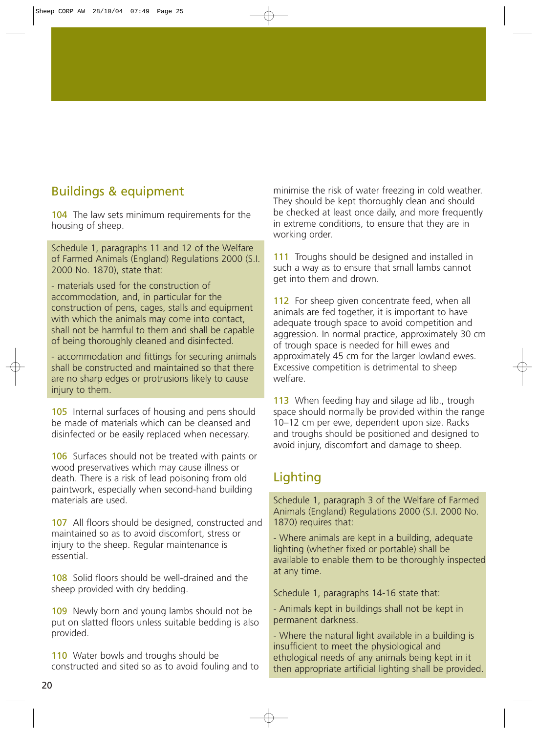### Buildings & equipment

104 The law sets minimum requirements for the housing of sheep.

Schedule 1, paragraphs 11 and 12 of the Welfare of Farmed Animals (England) Regulations 2000 (S.I. 2000 No. 1870), state that:

- materials used for the construction of accommodation, and, in particular for the construction of pens, cages, stalls and equipment with which the animals may come into contact, shall not be harmful to them and shall be capable of being thoroughly cleaned and disinfected.

- accommodation and fittings for securing animals shall be constructed and maintained so that there are no sharp edges or protrusions likely to cause injury to them.

105 Internal surfaces of housing and pens should be made of materials which can be cleansed and disinfected or be easily replaced when necessary.

106 Surfaces should not be treated with paints or wood preservatives which may cause illness or death. There is a risk of lead poisoning from old paintwork, especially when second-hand building materials are used.

107 All floors should be designed, constructed and maintained so as to avoid discomfort, stress or injury to the sheep. Regular maintenance is essential.

108 Solid floors should be well-drained and the sheep provided with dry bedding.

109 Newly born and young lambs should not be put on slatted floors unless suitable bedding is also provided.

110 Water bowls and troughs should be constructed and sited so as to avoid fouling and to minimise the risk of water freezing in cold weather. They should be kept thoroughly clean and should be checked at least once daily, and more frequently in extreme conditions, to ensure that they are in working order.

111 Troughs should be designed and installed in such a way as to ensure that small lambs cannot get into them and drown.

112 For sheep given concentrate feed, when all animals are fed together, it is important to have adequate trough space to avoid competition and aggression. In normal practice, approximately 30 cm of trough space is needed for hill ewes and approximately 45 cm for the larger lowland ewes. Excessive competition is detrimental to sheep welfare.

113 When feeding hay and silage ad lib., trough space should normally be provided within the range 10–12 cm per ewe, dependent upon size. Racks and troughs should be positioned and designed to avoid injury, discomfort and damage to sheep.

### Lighting

Schedule 1, paragraph 3 of the Welfare of Farmed Animals (England) Regulations 2000 (S.I. 2000 No. 1870) requires that:

- Where animals are kept in a building, adequate lighting (whether fixed or portable) shall be available to enable them to be thoroughly inspected at any time.

Schedule 1, paragraphs 14-16 state that:

- Animals kept in buildings shall not be kept in permanent darkness.

- Where the natural light available in a building is insufficient to meet the physiological and ethological needs of any animals being kept in it then appropriate artificial lighting shall be provided.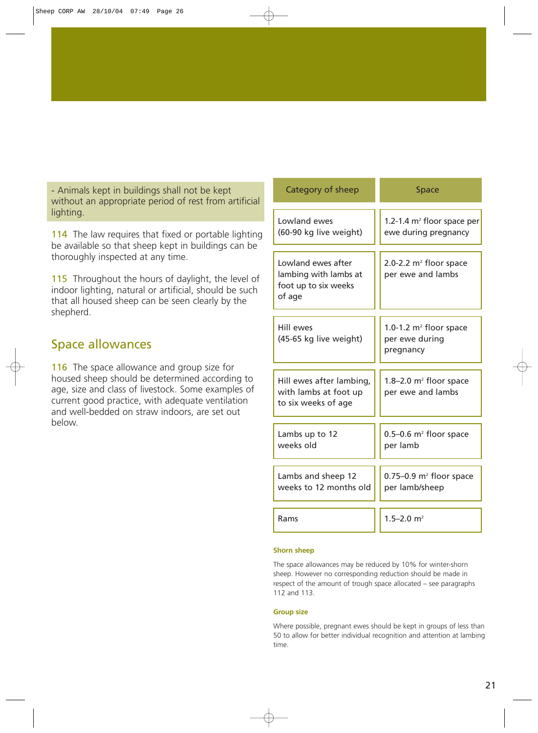- Animals kept in buildings shall not be kept without an appropriate period of rest from artificial lighting.

114 The law requires that fixed or portable lighting be available so that sheep kept in buildings can be thoroughly inspected at any time.

115 Throughout the hours of daylight, the level of indoor lighting, natural or artificial, should be such that all housed sheep can be seen clearly by the shepherd.

### Space allowances

116 The space allowance and group size for housed sheep should be determined according to age, size and class of livestock. Some examples of current good practice, with adequate ventilation and well-bedded on straw indoors, are set out below.

| Category of sheep                                                             | <b>Space</b>                                                |
|-------------------------------------------------------------------------------|-------------------------------------------------------------|
| Lowland ewes<br>(60-90 kg live weight)                                        | 1.2-1.4 $m2$ floor space per<br>ewe during pregnancy        |
| Lowland ewes after<br>lambing with lambs at<br>foot up to six weeks<br>of age | 2.0-2.2 $m^2$ floor space<br>per ewe and lambs              |
| Hill ewes<br>(45-65 kg live weight)                                           | 1.0-1.2 $m^2$ floor space<br>per ewe during<br>pregnancy    |
| Hill ewes after lambing,<br>with lambs at foot up<br>to six weeks of age      | $1.8 - 2.0$ m <sup>2</sup> floor space<br>per ewe and lambs |
| Lambs up to 12<br>weeks old                                                   | $0.5-0.6$ m <sup>2</sup> floor space<br>per lamb            |
| Lambs and sheep 12<br>weeks to 12 months old                                  | $0.75-0.9$ m <sup>2</sup> floor space<br>per lamb/sheep     |
| Rams                                                                          | $1.5 - 2.0$ m <sup>2</sup>                                  |

### **Shorn sheep**

The space allowances may be reduced by 10% for winter-shorn sheep. However no corresponding reduction should be made in respect of the amount of trough space allocated – see paragraphs 112 and 113.

### **Group size**

Where possible, pregnant ewes should be kept in groups of less than 50 to allow for better individual recognition and attention at lambing time.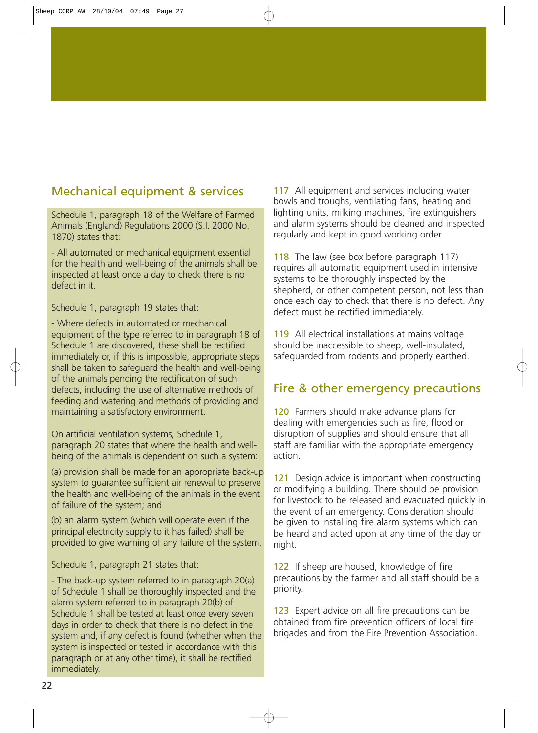### Mechanical equipment & services

Schedule 1, paragraph 18 of the Welfare of Farmed Animals (England) Regulations 2000 (S.I. 2000 No. 1870) states that:

- All automated or mechanical equipment essential for the health and well-being of the animals shall be inspected at least once a day to check there is no defect in it.

Schedule 1, paragraph 19 states that:

- Where defects in automated or mechanical equipment of the type referred to in paragraph 18 of Schedule 1 are discovered, these shall be rectified immediately or, if this is impossible, appropriate steps shall be taken to safeguard the health and well-being of the animals pending the rectification of such defects, including the use of alternative methods of feeding and watering and methods of providing and maintaining a satisfactory environment.

On artificial ventilation systems, Schedule 1, paragraph 20 states that where the health and wellbeing of the animals is dependent on such a system:

(a) provision shall be made for an appropriate back-up system to guarantee sufficient air renewal to preserve the health and well-being of the animals in the event of failure of the system; and

(b) an alarm system (which will operate even if the principal electricity supply to it has failed) shall be provided to give warning of any failure of the system.

Schedule 1, paragraph 21 states that:

- The back-up system referred to in paragraph 20(a) of Schedule 1 shall be thoroughly inspected and the alarm system referred to in paragraph 20(b) of Schedule 1 shall be tested at least once every seven days in order to check that there is no defect in the system and, if any defect is found (whether when the system is inspected or tested in accordance with this paragraph or at any other time), it shall be rectified immediately.

117 All equipment and services including water bowls and troughs, ventilating fans, heating and lighting units, milking machines, fire extinguishers and alarm systems should be cleaned and inspected regularly and kept in good working order.

118 The law (see box before paragraph 117) requires all automatic equipment used in intensive systems to be thoroughly inspected by the shepherd, or other competent person, not less than once each day to check that there is no defect. Any defect must be rectified immediately.

119 All electrical installations at mains voltage should be inaccessible to sheep, well-insulated, safeguarded from rodents and properly earthed.

### Fire & other emergency precautions

120 Farmers should make advance plans for dealing with emergencies such as fire, flood or disruption of supplies and should ensure that all staff are familiar with the appropriate emergency action.

121 Design advice is important when constructing or modifying a building. There should be provision for livestock to be released and evacuated quickly in the event of an emergency. Consideration should be given to installing fire alarm systems which can be heard and acted upon at any time of the day or night.

122 If sheep are housed, knowledge of fire precautions by the farmer and all staff should be a priority.

123 Expert advice on all fire precautions can be obtained from fire prevention officers of local fire brigades and from the Fire Prevention Association.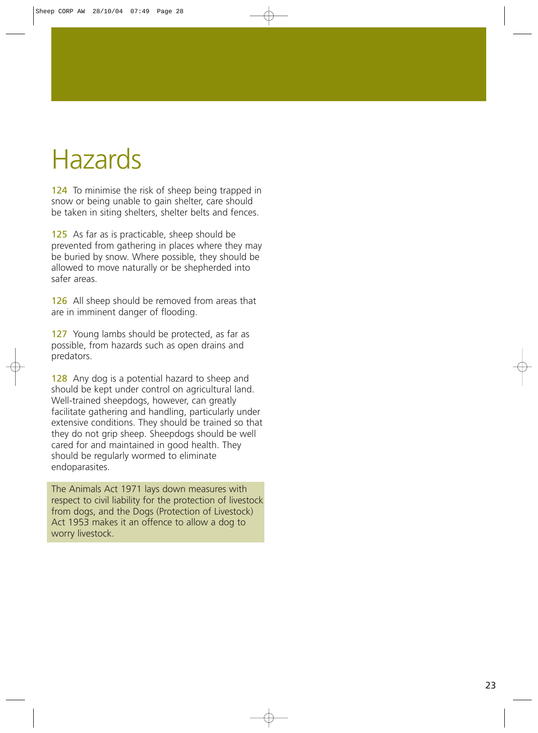# Hazards

124 To minimise the risk of sheep being trapped in snow or being unable to gain shelter, care should be taken in siting shelters, shelter belts and fences.

125 As far as is practicable, sheep should be prevented from gathering in places where they may be buried by snow. Where possible, they should be allowed to move naturally or be shepherded into safer areas.

126 All sheep should be removed from areas that are in imminent danger of flooding.

127 Young lambs should be protected, as far as possible, from hazards such as open drains and predators.

128 Any dog is a potential hazard to sheep and should be kept under control on agricultural land. Well-trained sheepdogs, however, can greatly facilitate gathering and handling, particularly under extensive conditions. They should be trained so that they do not grip sheep. Sheepdogs should be well cared for and maintained in good health. They should be regularly wormed to eliminate endoparasites.

The Animals Act 1971 lays down measures with respect to civil liability for the protection of livestock from dogs, and the Dogs (Protection of Livestock) Act 1953 makes it an offence to allow a dog to worry livestock.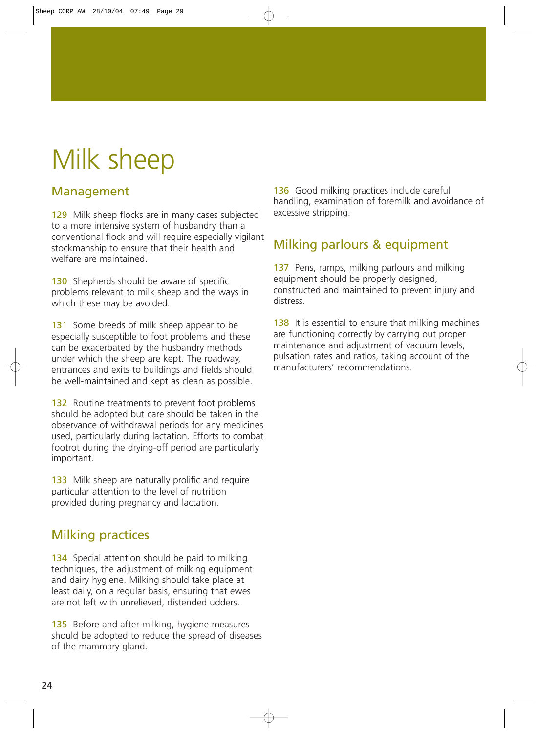# Milk sheep

### Management

129 Milk sheep flocks are in many cases subjected to a more intensive system of husbandry than a conventional flock and will require especially vigilant stockmanship to ensure that their health and welfare are maintained

130 Shepherds should be aware of specific problems relevant to milk sheep and the ways in which these may be avoided.

131 Some breeds of milk sheep appear to be especially susceptible to foot problems and these can be exacerbated by the husbandry methods under which the sheep are kept. The roadway, entrances and exits to buildings and fields should be well-maintained and kept as clean as possible.

132 Routine treatments to prevent foot problems should be adopted but care should be taken in the observance of withdrawal periods for any medicines used, particularly during lactation. Efforts to combat footrot during the drying-off period are particularly important.

133 Milk sheep are naturally prolific and require particular attention to the level of nutrition provided during pregnancy and lactation.

### Milking practices

134 Special attention should be paid to milking techniques, the adjustment of milking equipment and dairy hygiene. Milking should take place at least daily, on a regular basis, ensuring that ewes are not left with unrelieved, distended udders.

135 Before and after milking, hygiene measures should be adopted to reduce the spread of diseases of the mammary gland.

136 Good milking practices include careful handling, examination of foremilk and avoidance of excessive stripping.

### Milking parlours & equipment

137 Pens, ramps, milking parlours and milking equipment should be properly designed, constructed and maintained to prevent injury and distress.

138 It is essential to ensure that milking machines are functioning correctly by carrying out proper maintenance and adjustment of vacuum levels, pulsation rates and ratios, taking account of the manufacturers' recommendations.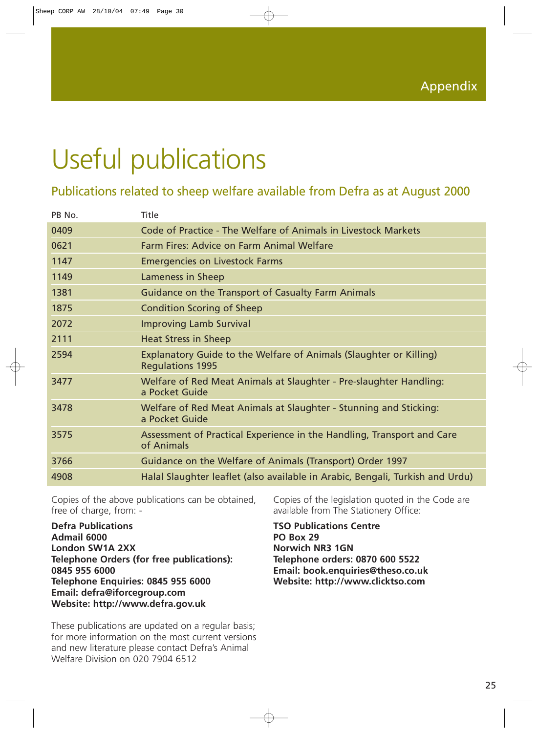# Useful publications

### Publications related to sheep welfare available from Defra as at August 2000

| PB No. | Title                                                                                         |
|--------|-----------------------------------------------------------------------------------------------|
| 0409   | Code of Practice - The Welfare of Animals in Livestock Markets                                |
| 0621   | Farm Fires: Advice on Farm Animal Welfare                                                     |
| 1147   | <b>Emergencies on Livestock Farms</b>                                                         |
| 1149   | Lameness in Sheep                                                                             |
| 1381   | Guidance on the Transport of Casualty Farm Animals                                            |
| 1875   | <b>Condition Scoring of Sheep</b>                                                             |
| 2072   | <b>Improving Lamb Survival</b>                                                                |
| 2111   | <b>Heat Stress in Sheep</b>                                                                   |
| 2594   | Explanatory Guide to the Welfare of Animals (Slaughter or Killing)<br><b>Regulations 1995</b> |
| 3477   | Welfare of Red Meat Animals at Slaughter - Pre-slaughter Handling:<br>a Pocket Guide          |
| 3478   | Welfare of Red Meat Animals at Slaughter - Stunning and Sticking:<br>a Pocket Guide           |
| 3575   | Assessment of Practical Experience in the Handling, Transport and Care<br>of Animals          |
| 3766   | Guidance on the Welfare of Animals (Transport) Order 1997                                     |
| 4908   | Halal Slaughter leaflet (also available in Arabic, Bengali, Turkish and Urdu)                 |

Copies of the above publications can be obtained, free of charge, from: -

**Defra Publications Admail 6000 London SW1A 2XX Telephone Orders (for free publications): 0845 955 6000 Telephone Enquiries: 0845 955 6000 Email: defra@iforcegroup.com Website: http://www.defra.gov.uk**

These publications are updated on a regular basis; for more information on the most current versions and new literature please contact Defra's Animal Welfare Division on 020 7904 6512

Copies of the legislation quoted in the Code are available from The Stationery Office:

**TSO Publications Centre PO Box 29 Norwich NR3 1GN Telephone orders: 0870 600 5522 Email: book.enquiries@theso.co.uk Website: http://www.clicktso.com**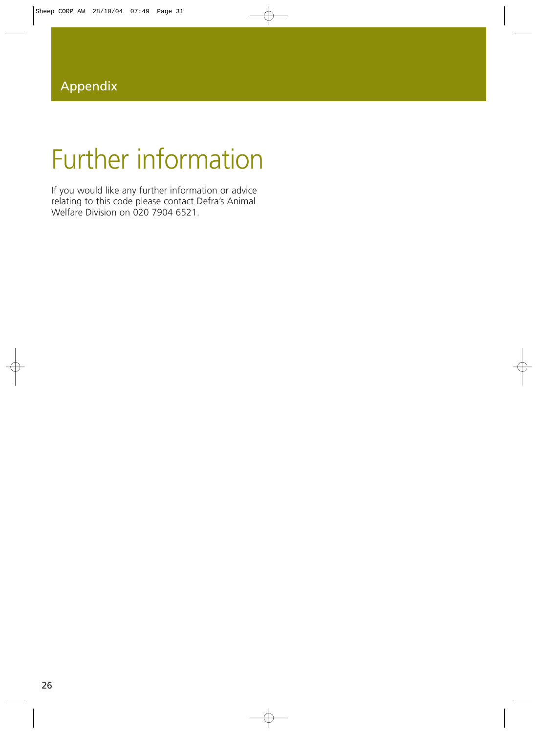# Further information

If you would like any further information or advice relating to this code please contact Defra's Animal Welfare Division on 020 7904 6521.